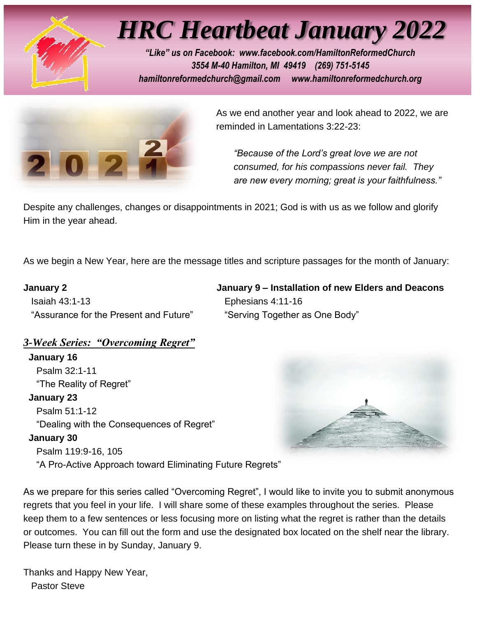

## *HRC Heartbeat January 2022*

*"Like" us on Facebook: [www.facebook.com/HamiltonReformedChurch](http://www.facebook.com/HamiltonReformedChurch) 3554 M-40 Hamilton, MI 49419 (269) 751-5145 hamiltonreformedchurch@gmail.com www.hamiltonreformedchurch.org*



As we end another year and look ahead to 2022, we are reminded in Lamentations 3:22-23:

*"Because of the Lord's great love we are not consumed, for his compassions never fail. They are new every morning; great is your faithfulness."*

Despite any challenges, changes or disappointments in 2021; God is with us as we follow and glorify Him in the year ahead.

As we begin a New Year, here are the message titles and scripture passages for the month of January:

#### **January 2**

 Isaiah 43:1-13 "Assurance for the Present and Future" **January 9 – Installation of new Elders and Deacons** Ephesians 4:11-16 "Serving Together as One Body"

#### *3-Week Series: "Overcoming Regret"*

 **January 16** Psalm 32:1-11 "The Reality of Regret"  **January 23**

 Psalm 51:1-12 "Dealing with the Consequences of Regret"

#### **January 30**

 Psalm 119:9-16, 105 "A Pro-Active Approach toward Eliminating Future Regrets"



As we prepare for this series called "Overcoming Regret", I would like to invite you to submit anonymous regrets that you feel in your life. I will share some of these examples throughout the series. Please keep them to a few sentences or less focusing more on listing what the regret is rather than the details or outcomes. You can fill out the form and use the designated box located on the shelf near the library. Please turn these in by Sunday, January 9.

Thanks and Happy New Year, Pastor Steve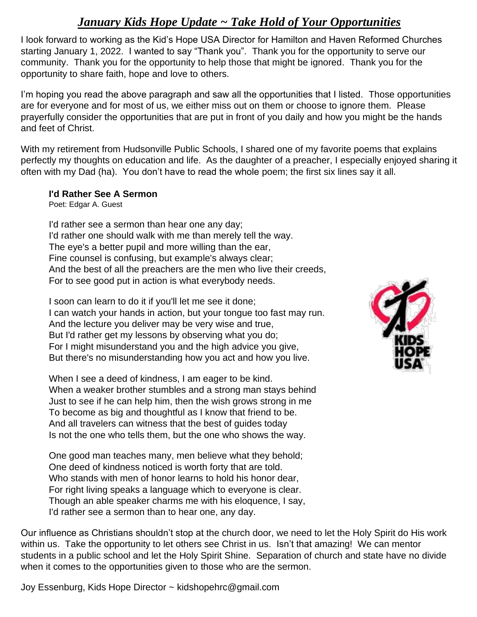## *January Kids Hope Update ~ Take Hold of Your Opportunities*

I look forward to working as the Kid's Hope USA Director for Hamilton and Haven Reformed Churches starting January 1, 2022. I wanted to say "Thank you". Thank you for the opportunity to serve our community. Thank you for the opportunity to help those that might be ignored. Thank you for the opportunity to share faith, hope and love to others.

I'm hoping you read the above paragraph and saw all the opportunities that I listed. Those opportunities are for everyone and for most of us, we either miss out on them or choose to ignore them. Please prayerfully consider the opportunities that are put in front of you daily and how you might be the hands and feet of Christ.

With my retirement from Hudsonville Public Schools, I shared one of my favorite poems that explains perfectly my thoughts on education and life. As the daughter of a preacher, I especially enjoyed sharing it often with my Dad (ha). You don't have to read the whole poem; the first six lines say it all.

#### **I'd Rather See A Sermon**

Poet: Edgar A. Guest

I'd rather see a sermon than hear one any day; I'd rather one should walk with me than merely tell the way. The eye's a better pupil and more willing than the ear, Fine counsel is confusing, but example's always clear; And the best of all the preachers are the men who live their creeds, For to see good put in action is what everybody needs.

I soon can learn to do it if you'll let me see it done; I can watch your hands in action, but your tongue too fast may run. And the lecture you deliver may be very wise and true, But I'd rather get my lessons by observing what you do; For I might misunderstand you and the high advice you give, But there's no misunderstanding how you act and how you live.

When I see a deed of kindness, I am eager to be kind. When a weaker brother stumbles and a strong man stays behind Just to see if he can help him, then the wish grows strong in me To become as big and thoughtful as I know that friend to be. And all travelers can witness that the best of guides today Is not the one who tells them, but the one who shows the way.

One good man teaches many, men believe what they behold; One deed of kindness noticed is worth forty that are told. Who stands with men of honor learns to hold his honor dear, For right living speaks a language which to everyone is clear. Though an able speaker charms me with his eloquence, I say, I'd rather see a sermon than to hear one, any day.



Our influence as Christians shouldn't stop at the church door, we need to let the Holy Spirit do His work within us. Take the opportunity to let others see Christ in us. Isn't that amazing! We can mentor students in a public school and let the Holy Spirit Shine. Separation of church and state have no divide when it comes to the opportunities given to those who are the sermon.

Joy Essenburg, Kids Hope Director ~ kidshopehrc@gmail.com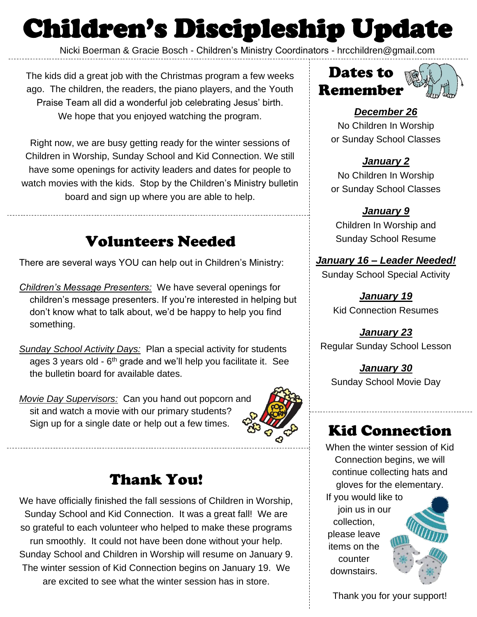## Children's Discipleship Update

Nicki Boerman & Gracie Bosch - Children's Ministry Coordinators - hrcchildren@gmail.com

The kids did a great job with the Christmas program a few weeks ago. The children, the readers, the piano players, and the Youth Praise Team all did a wonderful job celebrating Jesus' birth. We hope that you enjoyed watching the program.

Right now, we are busy getting ready for the winter sessions of Children in Worship, Sunday School and Kid Connection. We still have some openings for activity leaders and dates for people to watch movies with the kids. Stop by the Children's Ministry bulletin board and sign up where you are able to help.

## Volunteers Needed

There are several ways YOU can help out in Children's Ministry:

- *Children's Message Presenters:* We have several openings for children's message presenters. If you're interested in helping but don't know what to talk about, we'd be happy to help you find something.
- *Sunday School Activity Days:* Plan a special activity for students ages 3 years old - 6<sup>th</sup> grade and we'll help you facilitate it. See the bulletin board for available dates.
- *Movie Day Supervisors:* Can you hand out popcorn and sit and watch a movie with our primary students? Sign up for a single date or help out a few times.

Contact Nicki or Gracie with any questions.



## Thank You!

We have officially finished the fall sessions of Children in Worship, Sunday School and Kid Connection. It was a great fall! We are so grateful to each volunteer who helped to make these programs run smoothly. It could not have been done without your help. Sunday School and Children in Worship will resume on January 9. The winter session of Kid Connection begins on January 19. We are excited to see what the winter session has in store.



#### *December 26*

No Children In Worship or Sunday School Classes

#### *January 2*

No Children In Worship or Sunday School Classes

#### *January 9*

Children In Worship and Sunday School Resume

*January 16 – Leader Needed!* Sunday School Special Activity

*January 19* Kid Connection Resumes

*January 23* Regular Sunday School Lesson

*January 30* Sunday School Movie Day

## Kid Connection

When the winter session of Kid Connection begins, we will continue collecting hats and gloves for the elementary.

If you would like to join us in our collection, please leave items on the counter downstairs.



Thank you for your support!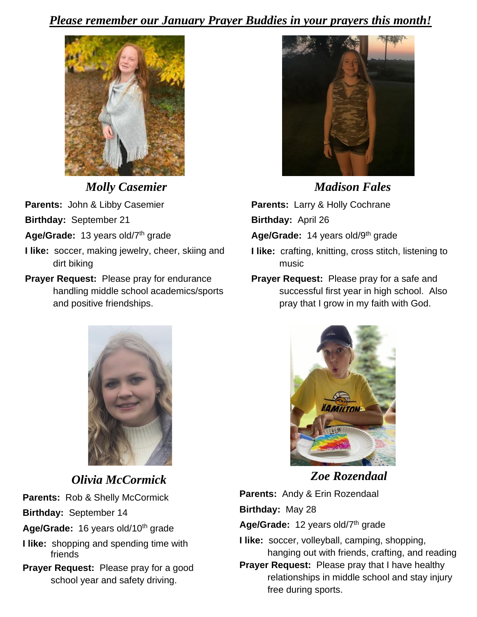## *Please remember our January Prayer Buddies in your prayers this month!*



*Molly Casemier*

**Parents:** John & Libby Casemier

**Birthday:** September 21

- Age/Grade: 13 years old/7<sup>th</sup> grade
- **I like:** soccer, making jewelry, cheer, skiing and dirt biking
- **Prayer Request:** Please pray for endurance handling middle school academics/sports and positive friendships.



*Madison Fales*

**Parents:** Larry & Holly Cochrane **Birthday:** April 26 **Age/Grade:** 14 years old/9th grade **I like:** crafting, knitting, cross stitch, listening to music **Prayer Request:** Please pray for a safe and successful first year in high school. Also pray that I grow in my faith with God.



*Olivia McCormick*

**Parents:** Rob & Shelly McCormick

- **Birthday:** September 14
- Age/Grade: 16 years old/10<sup>th</sup> grade
- **I like:** shopping and spending time with friends
- **Prayer Request:** Please pray for a good school year and safety driving.



*Zoe Rozendaal*

**Parents:** Andy & Erin Rozendaal **Birthday:** May 28

Age/Grade: 12 years old/7<sup>th</sup> grade

**I like:** soccer, volleyball, camping, shopping, hanging out with friends, crafting, and reading

**Prayer Request:** Please pray that I have healthy relationships in middle school and stay injury free during sports.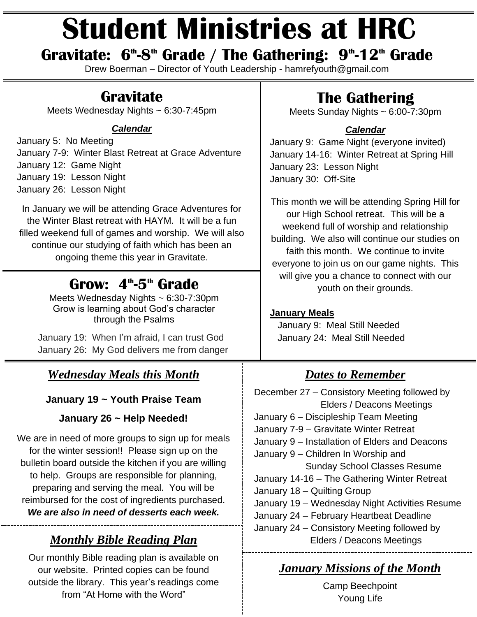# **Student Ministries at HRC**

## Gravitate: 6<sup>th</sup>-8<sup>th</sup> Grade / The Gathering: 9<sup>th</sup>-12<sup>th</sup> Grade

Drew Boerman – Director of Youth Leadership - hamrefyouth@gmail.com

## **Gravitate**

Meets Wednesday Nights ~ 6:30-7:45pm

#### *Calendar*

January 5: No Meeting January 7-9: Winter Blast Retreat at Grace Adventure January 12: Game Night January 19: Lesson Night January 26: Lesson Night

In January we will be attending Grace Adventures for the Winter Blast retreat with HAYM. It will be a fun filled weekend full of games and worship. We will also continue our studying of faith which has been an ongoing theme this year in Gravitate.

## Grow: 4<sup>th</sup>-5<sup>th</sup> Grade

Meets Wednesday Nights ~ 6:30-7:30pm Grow is learning about God's character through the Psalms

January 19: When I'm afraid, I can trust God January 26: My God delivers me from danger

## *Wednesday Meals this Month*

1

### **January 19 ~ Youth Praise Team**

### **January 26 ~ Help Needed!**

We are in need of more groups to sign up for meals for the winter session!! Please sign up on the bulletin board outside the kitchen if you are willing to help. Groups are responsible for planning, preparing and serving the meal. You will be reimbursed for the cost of ingredients purchased. *We are also in need of desserts each week.*

## *Monthly Bible Reading Plan*

Our monthly Bible reading plan is available on our website. Printed copies can be found outside the library. This year's readings come from "At Home with the Word"

## **The Gathering**

Meets Sunday Nights ~ 6:00-7:30pm

#### *Calendar*

January 9: Game Night (everyone invited) January 14-16: Winter Retreat at Spring Hill January 23: Lesson Night January 30: Off-Site

This month we will be attending Spring Hill for our High School retreat. This will be a weekend full of worship and relationship building. We also will continue our studies on faith this month. We continue to invite everyone to join us on our game nights. This will give you a chance to connect with our youth on their grounds.

#### **January Meals**

 January 9: Meal Still Needed January 24: Meal Still Needed

## *Dates to Remember*

December 27 – Consistory Meeting followed by Elders / Deacons Meetings January 6 – Discipleship Team Meeting January 7-9 – Gravitate Winter Retreat January 9 – Installation of Elders and Deacons January 9 – Children In Worship and Sunday School Classes Resume January 14-16 – The Gathering Winter Retreat January 18 – Quilting Group January 19 – Wednesday Night Activities Resume January 24 – February Heartbeat Deadline January 24 – Consistory Meeting followed by Elders / Deacons Meetings

## *January Missions of the Month*

Camp Beechpoint Young Life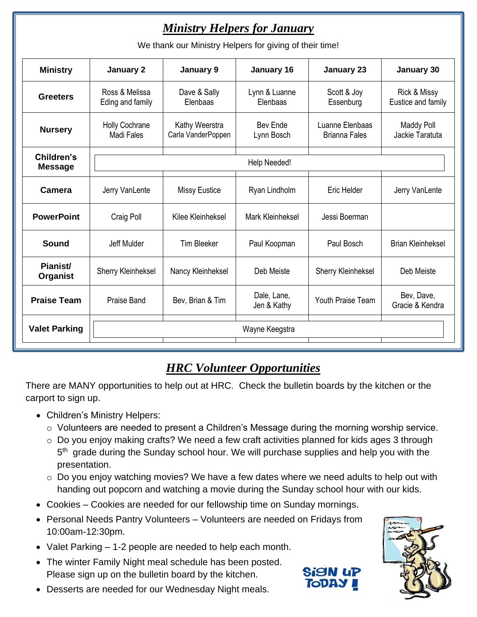## *Ministry Helpers for January*

We thank our Ministry Helpers for giving of their time!

| <b>Ministry</b>              | January 2                           | January 9                            | January 16                 | January 23                              | January 30                           |  |  |
|------------------------------|-------------------------------------|--------------------------------------|----------------------------|-----------------------------------------|--------------------------------------|--|--|
| <b>Greeters</b>              | Ross & Melissa<br>Eding and family  | Dave & Sally<br>Elenbaas             | Lynn & Luanne<br>Elenbaas  | Scott & Joy<br>Essenburg                | Rick & Missy<br>Eustice and family   |  |  |
| <b>Nursery</b>               | Holly Cochrane<br><b>Madi Fales</b> | Kathy Weerstra<br>Carla VanderPoppen | Bev Ende<br>Lynn Bosch     | Luanne Elenbaas<br><b>Brianna Fales</b> | <b>Maddy Poll</b><br>Jackie Taratuta |  |  |
| Children's<br><b>Message</b> | Help Needed!                        |                                      |                            |                                         |                                      |  |  |
| Camera                       | Jerry VanLente                      | <b>Missy Eustice</b>                 | Ryan Lindholm              | Eric Helder                             | Jerry VanLente                       |  |  |
| <b>PowerPoint</b>            | Craig Poll                          | Kilee Kleinheksel                    | <b>Mark Kleinheksel</b>    | Jessi Boerman                           |                                      |  |  |
| Sound                        | Jeff Mulder                         | <b>Tim Bleeker</b>                   | Paul Koopman               | Paul Bosch                              | <b>Brian Kleinheksel</b>             |  |  |
| Pianist/<br><b>Organist</b>  | Sherry Kleinheksel                  | Nancy Kleinheksel                    | Deb Meiste                 | Sherry Kleinheksel                      | Deb Meiste                           |  |  |
| <b>Praise Team</b>           | <b>Praise Band</b>                  | Bev, Brian & Tim                     | Dale, Lane,<br>Jen & Kathy | Youth Praise Team                       | Bev, Dave,<br>Gracie & Kendra        |  |  |
| <b>Valet Parking</b>         | Wayne Keegstra                      |                                      |                            |                                         |                                      |  |  |

## *HRC Volunteer Opportunities*

There are MANY opportunities to help out at HRC. Check the bulletin boards by the kitchen or the carport to sign up.

- Children's Ministry Helpers:
	- o Volunteers are needed to present a Children's Message during the morning worship service.
	- o Do you enjoy making crafts? We need a few craft activities planned for kids ages 3 through 5<sup>th</sup> grade during the Sunday school hour. We will purchase supplies and help you with the presentation.
	- o Do you enjoy watching movies? We have a few dates where we need adults to help out with handing out popcorn and watching a movie during the Sunday school hour with our kids.
- Cookies Cookies are needed for our fellowship time on Sunday mornings.
- Personal Needs Pantry Volunteers Volunteers are needed on Fridays from 10:00am-12:30pm.
- Valet Parking 1-2 people are needed to help each month.
- The winter Family Night meal schedule has been posted. Please sign up on the bulletin board by the kitchen.
- Desserts are needed for our Wednesday Night meals.



**Sign uf TODAY I**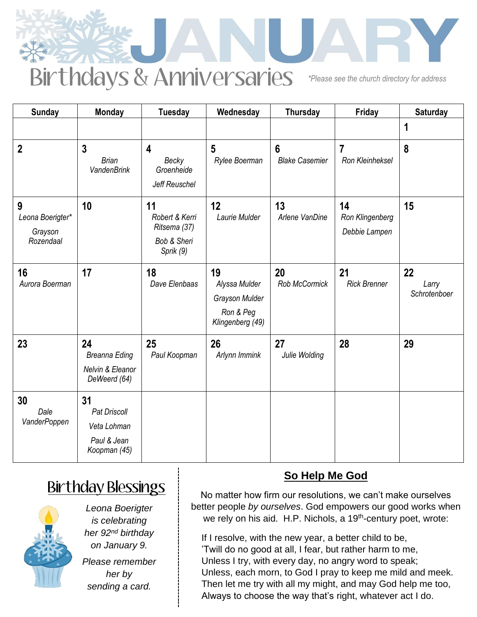

| <b>Sunday</b>                                 | <b>Monday</b>                                                           | <b>Tuesday</b>                                                   | Wednesday                                                              | <b>Thursday</b>            | Friday                                   | <b>Saturday</b>             |
|-----------------------------------------------|-------------------------------------------------------------------------|------------------------------------------------------------------|------------------------------------------------------------------------|----------------------------|------------------------------------------|-----------------------------|
|                                               |                                                                         |                                                                  |                                                                        |                            |                                          | 1                           |
| $\boldsymbol{2}$                              | $\mathbf{3}$<br><b>Brian</b><br><b>VandenBrink</b>                      | 4<br>Becky<br>Groenheide<br><b>Jeff Reuschel</b>                 | 5<br>Rylee Boerman                                                     | 6<br><b>Blake Casemier</b> | $\overline{7}$<br><b>Ron Kleinheksel</b> | 8                           |
| 9<br>Leona Boerigter*<br>Grayson<br>Rozendaal | 10                                                                      | 11<br>Robert & Kerri<br>Ritsema (37)<br>Bob & Sheri<br>Sprik (9) | 12<br>Laurie Mulder                                                    | 13<br>Arlene VanDine       | 14<br>Ron Klingenberg<br>Debbie Lampen   | 15                          |
| 16<br>Aurora Boerman                          | 17                                                                      | 18<br>Dave Elenbaas                                              | 19<br>Alyssa Mulder<br>Grayson Mulder<br>Ron & Peg<br>Klingenberg (49) | 20<br><b>Rob McCormick</b> | 21<br><b>Rick Brenner</b>                | 22<br>Larry<br>Schrotenboer |
| 23                                            | 24<br><b>Breanna Eding</b><br>Nelvin & Eleanor<br>DeWeerd (64)          | 25<br>Paul Koopman                                               | 26<br>Arlynn Immink                                                    | 27<br>Julie Wolding        | 28                                       | 29                          |
| 30<br>Dale<br>VanderPoppen                    | 31<br><b>Pat Driscoll</b><br>Veta Lohman<br>Paul & Jean<br>Koopman (45) |                                                                  |                                                                        |                            |                                          |                             |

## Birthday Blessings



*Leona Boerigter is celebrating her 92nd birthday on January 9. Please remember her by sending a card.*

#### **So Help Me God**

No matter how firm our resolutions, we can't make ourselves better people *by ourselves*. God empowers our good works when we rely on his aid. H.P. Nichols, a 19<sup>th</sup>-century poet, wrote:

If I resolve, with the new year, a better child to be, 'Twill do no good at all, I fear, but rather harm to me, Unless I try, with every day, no angry word to speak; Unless, each morn, to God I pray to keep me mild and meek. Then let me try with all my might, and may God help me too, Always to choose the way that's right, whatever act I do.